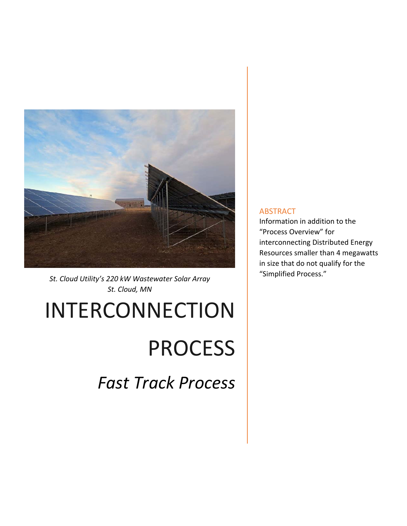

*St. Cloud Utility's 220 kW Wastewater Solar Array St. Cloud, MN* 

# INTERCONNECTION

# PROCESS

*Fast Track Process* 

#### ABSTRACT

Information in addition to the "Process Overview" for interconnecting Distributed Energy Resources smaller than 4 megawatts in size that do not qualify for the "Simplified Process."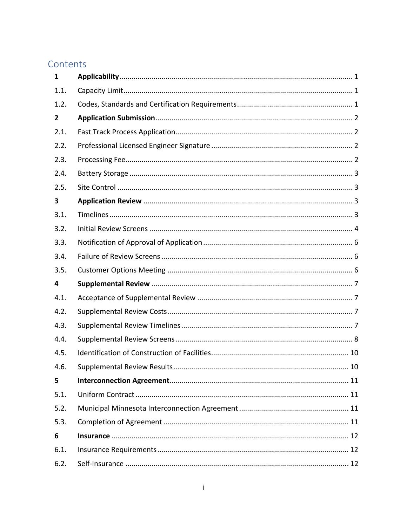# Contents

| 1              |  |
|----------------|--|
| 1.1.           |  |
| 1.2.           |  |
| $\overline{2}$ |  |
| 2.1.           |  |
| 2.2.           |  |
| 2.3.           |  |
| 2.4.           |  |
| 2.5.           |  |
| 3              |  |
| 3.1.           |  |
| 3.2.           |  |
| 3.3.           |  |
| 3.4.           |  |
| 3.5.           |  |
| 4              |  |
| 4.1.           |  |
| 4.2.           |  |
| 4.3.           |  |
| 4.4.           |  |
| 4.5.           |  |
| 4.6.           |  |
| 5              |  |
| 5.1.           |  |
| 5.2.           |  |
| 5.3.           |  |
| 6              |  |
| 6.1.           |  |
| 6.2.           |  |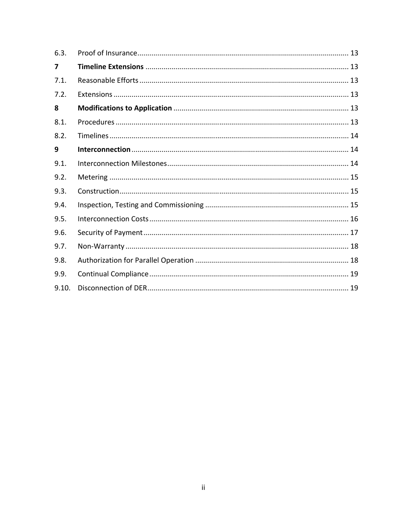| 6.3.  |  |
|-------|--|
| 7     |  |
| 7.1.  |  |
| 7.2.  |  |
| 8     |  |
| 8.1.  |  |
| 8.2.  |  |
| 9     |  |
| 9.1.  |  |
| 9.2.  |  |
| 9.3.  |  |
| 9.4.  |  |
| 9.5.  |  |
| 9.6.  |  |
| 9.7.  |  |
| 9.8.  |  |
| 9.9.  |  |
| 9.10. |  |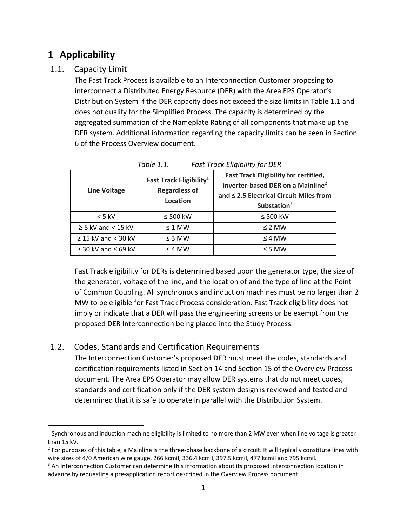# **1 Applicability**

## 1.1. Capacity Limit

The Fast Track Process is available to an Interconnection Customer proposing to interconnect a Distributed Energy Resource (DER) with the Area EPS Operator's Distribution System if the DER capacity does not exceed the size limits in Table 1.1 and does not qualify for the Simplified Process. The capacity is determined by the aggregated summation of the Nameplate Rating of all components that make up the DER system. Additional information regarding the capacity limits can be seen in Section 6 of the Process Overview document.

| <b>Line Voltage</b>           | Fast Track Eligibility <sup>1</sup><br><b>Regardless of</b><br>Location | <b>Fast Track Eligibility for certified,</b><br>inverter-based DER on a Mainline <sup>2</sup><br>and ≤ 2.5 Electrical Circuit Miles from<br>Substation <sup>3</sup> |
|-------------------------------|-------------------------------------------------------------------------|---------------------------------------------------------------------------------------------------------------------------------------------------------------------|
| $< 5$ kV                      | $\leq 500$ kW                                                           | $\leq 500$ kW                                                                                                                                                       |
| $\geq$ 5 kV and < 15 kV       | $\leq 1$ MW                                                             | $\leq$ 2 MW                                                                                                                                                         |
| $\geq$ 15 kV and < 30 kV      | $\leq$ 3 MW                                                             | $\leq$ 4 MW                                                                                                                                                         |
| $\geq$ 30 kV and $\leq$ 69 kV | $\leq$ 4 MW                                                             | $\leq$ 5 MW                                                                                                                                                         |

*Table 1.1. Fast Track Eligibility for DER* 

Fast Track eligibility for DERs is determined based upon the generator type, the size of the generator, voltage of the line, and the location of and the type of line at the Point of Common Coupling. All synchronous and induction machines must be no larger than 2 MW to be eligible for Fast Track Process consideration. Fast Track eligibility does not imply or indicate that a DER will pass the engineering screens or be exempt from the proposed DER Interconnection being placed into the Study Process.

## 1.2. Codes, Standards and Certification Requirements

The Interconnection Customer's proposed DER must meet the codes, standards and certification requirements listed in Section 14 and Section 15 of the Overview Process document. The Area EPS Operator may allow DER systems that do not meet codes, standards and certification only if the DER system design is reviewed and tested and determined that it is safe to operate in parallel with the Distribution System.

  $1$  Synchronous and induction machine eligibility is limited to no more than 2 MW even when line voltage is greater than 15 kV.

 $2$  For purposes of this table, a Mainline is the three-phase backbone of a circuit. It will typically constitute lines with wire sizes of 4/0 American wire gauge, 266 kcmil, 336.4 kcmil, 397.5 kcmil, 477 kcmil and 795 kcmil.

<sup>&</sup>lt;sup>3</sup> An Interconnection Customer can determine this information about its proposed interconnection location in advance by requesting a pre‐application report described in the Overview Process document.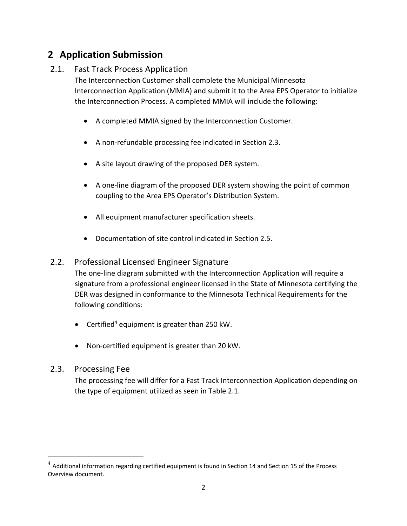# **2 Application Submission**

## 2.1. Fast Track Process Application

The Interconnection Customer shall complete the Municipal Minnesota Interconnection Application (MMIA) and submit it to the Area EPS Operator to initialize the Interconnection Process. A completed MMIA will include the following:

- A completed MMIA signed by the Interconnection Customer.
- A non-refundable processing fee indicated in Section 2.3.
- A site layout drawing of the proposed DER system.
- A one-line diagram of the proposed DER system showing the point of common coupling to the Area EPS Operator's Distribution System.
- All equipment manufacturer specification sheets.
- Documentation of site control indicated in Section 2.5.

## 2.2. Professional Licensed Engineer Signature

The one‐line diagram submitted with the Interconnection Application will require a signature from a professional engineer licensed in the State of Minnesota certifying the DER was designed in conformance to the Minnesota Technical Requirements for the following conditions:

- $\bullet$  Certified<sup>4</sup> equipment is greater than 250 kW.
- Non-certified equipment is greater than 20 kW.

#### 2.3. Processing Fee

The processing fee will differ for a Fast Track Interconnection Application depending on the type of equipment utilized as seen in Table 2.1.

 $^4$  Additional information regarding certified equipment is found in Section 14 and Section 15 of the Process Overview document.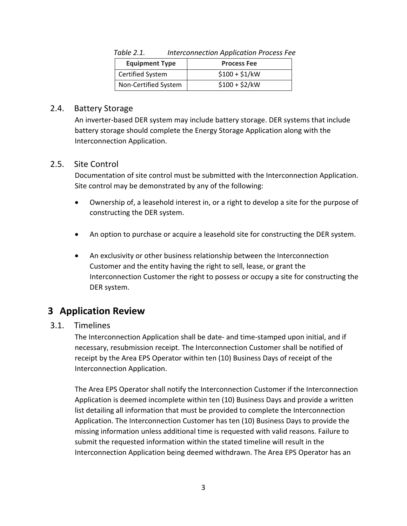| <b>Equipment Type</b> | <b>Process Fee</b> |
|-----------------------|--------------------|
| Certified System      | $$100 + $1/kW$     |
| Non-Certified System  | $$100 + $2/kW$     |

*Table 2.1. Interconnection Application Process Fee* 

#### 2.4. Battery Storage

An inverter‐based DER system may include battery storage. DER systems that include battery storage should complete the Energy Storage Application along with the Interconnection Application.

#### 2.5. Site Control

Documentation of site control must be submitted with the Interconnection Application. Site control may be demonstrated by any of the following:

- Ownership of, a leasehold interest in, or a right to develop a site for the purpose of constructing the DER system.
- An option to purchase or acquire a leasehold site for constructing the DER system.
- An exclusivity or other business relationship between the Interconnection Customer and the entity having the right to sell, lease, or grant the Interconnection Customer the right to possess or occupy a site for constructing the DER system.

# **3 Application Review**

#### 3.1. Timelines

The Interconnection Application shall be date‐ and time‐stamped upon initial, and if necessary, resubmission receipt. The Interconnection Customer shall be notified of receipt by the Area EPS Operator within ten (10) Business Days of receipt of the Interconnection Application.

The Area EPS Operator shall notify the Interconnection Customer if the Interconnection Application is deemed incomplete within ten (10) Business Days and provide a written list detailing all information that must be provided to complete the Interconnection Application. The Interconnection Customer has ten (10) Business Days to provide the missing information unless additional time is requested with valid reasons. Failure to submit the requested information within the stated timeline will result in the Interconnection Application being deemed withdrawn. The Area EPS Operator has an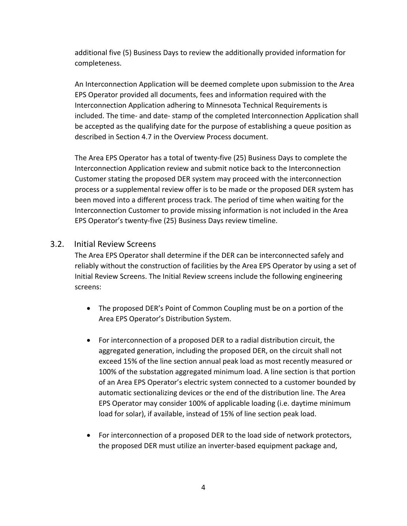additional five (5) Business Days to review the additionally provided information for completeness.

An Interconnection Application will be deemed complete upon submission to the Area EPS Operator provided all documents, fees and information required with the Interconnection Application adhering to Minnesota Technical Requirements is included. The time‐ and date‐ stamp of the completed Interconnection Application shall be accepted as the qualifying date for the purpose of establishing a queue position as described in Section 4.7 in the Overview Process document.

The Area EPS Operator has a total of twenty‐five (25) Business Days to complete the Interconnection Application review and submit notice back to the Interconnection Customer stating the proposed DER system may proceed with the interconnection process or a supplemental review offer is to be made or the proposed DER system has been moved into a different process track. The period of time when waiting for the Interconnection Customer to provide missing information is not included in the Area EPS Operator's twenty‐five (25) Business Days review timeline.

#### 3.2. Initial Review Screens

The Area EPS Operator shall determine if the DER can be interconnected safely and reliably without the construction of facilities by the Area EPS Operator by using a set of Initial Review Screens. The Initial Review screens include the following engineering screens:

- The proposed DER's Point of Common Coupling must be on a portion of the Area EPS Operator's Distribution System.
- For interconnection of a proposed DER to a radial distribution circuit, the aggregated generation, including the proposed DER, on the circuit shall not exceed 15% of the line section annual peak load as most recently measured or 100% of the substation aggregated minimum load. A line section is that portion of an Area EPS Operator's electric system connected to a customer bounded by automatic sectionalizing devices or the end of the distribution line. The Area EPS Operator may consider 100% of applicable loading (i.e. daytime minimum load for solar), if available, instead of 15% of line section peak load.
- For interconnection of a proposed DER to the load side of network protectors, the proposed DER must utilize an inverter‐based equipment package and,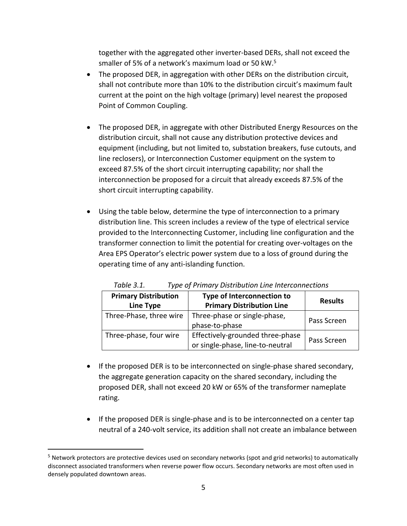together with the aggregated other inverter‐based DERs, shall not exceed the smaller of 5% of a network's maximum load or 50 kW.5

- The proposed DER, in aggregation with other DERs on the distribution circuit, shall not contribute more than 10% to the distribution circuit's maximum fault current at the point on the high voltage (primary) level nearest the proposed Point of Common Coupling.
- The proposed DER, in aggregate with other Distributed Energy Resources on the distribution circuit, shall not cause any distribution protective devices and equipment (including, but not limited to, substation breakers, fuse cutouts, and line reclosers), or Interconnection Customer equipment on the system to exceed 87.5% of the short circuit interrupting capability; nor shall the interconnection be proposed for a circuit that already exceeds 87.5% of the short circuit interrupting capability.
- Using the table below, determine the type of interconnection to a primary distribution line. This screen includes a review of the type of electrical service provided to the Interconnecting Customer, including line configuration and the transformer connection to limit the potential for creating over‐voltages on the Area EPS Operator's electric power system due to a loss of ground during the operating time of any anti‐islanding function.

| <b>Primary Distribution</b> | Type of Interconnection to                                           | <b>Results</b> |
|-----------------------------|----------------------------------------------------------------------|----------------|
| Line Type                   | <b>Primary Distribution Line</b>                                     |                |
| Three-Phase, three wire     | Three-phase or single-phase,<br>phase-to-phase                       | Pass Screen    |
| Three-phase, four wire      | Effectively-grounded three-phase<br>or single-phase, line-to-neutral | Pass Screen    |

*Table 3.1. Type of Primary Distribution Line Interconnections*

- If the proposed DER is to be interconnected on single-phase shared secondary, the aggregate generation capacity on the shared secondary, including the proposed DER, shall not exceed 20 kW or 65% of the transformer nameplate rating.
- If the proposed DER is single-phase and is to be interconnected on a center tap neutral of a 240‐volt service, its addition shall not create an imbalance between

<sup>&</sup>lt;sup>5</sup> Network protectors are protective devices used on secondary networks (spot and grid networks) to automatically disconnect associated transformers when reverse power flow occurs. Secondary networks are most often used in densely populated downtown areas.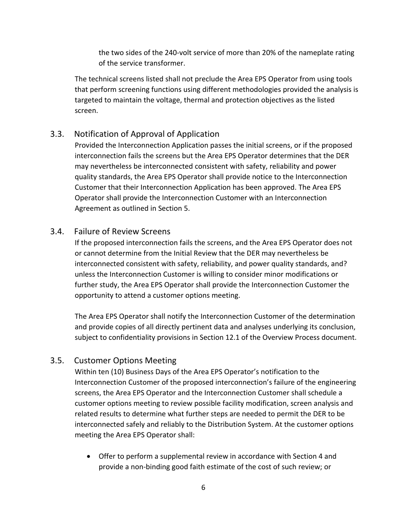the two sides of the 240‐volt service of more than 20% of the nameplate rating of the service transformer.

The technical screens listed shall not preclude the Area EPS Operator from using tools that perform screening functions using different methodologies provided the analysis is targeted to maintain the voltage, thermal and protection objectives as the listed screen.

## 3.3. Notification of Approval of Application

Provided the Interconnection Application passes the initial screens, or if the proposed interconnection fails the screens but the Area EPS Operator determines that the DER may nevertheless be interconnected consistent with safety, reliability and power quality standards, the Area EPS Operator shall provide notice to the Interconnection Customer that their Interconnection Application has been approved. The Area EPS Operator shall provide the Interconnection Customer with an Interconnection Agreement as outlined in Section 5.

#### 3.4. Failure of Review Screens

If the proposed interconnection fails the screens, and the Area EPS Operator does not or cannot determine from the Initial Review that the DER may nevertheless be interconnected consistent with safety, reliability, and power quality standards, and? unless the Interconnection Customer is willing to consider minor modifications or further study, the Area EPS Operator shall provide the Interconnection Customer the opportunity to attend a customer options meeting.

The Area EPS Operator shall notify the Interconnection Customer of the determination and provide copies of all directly pertinent data and analyses underlying its conclusion, subject to confidentiality provisions in Section 12.1 of the Overview Process document.

#### 3.5. Customer Options Meeting

Within ten (10) Business Days of the Area EPS Operator's notification to the Interconnection Customer of the proposed interconnection's failure of the engineering screens, the Area EPS Operator and the Interconnection Customer shall schedule a customer options meeting to review possible facility modification, screen analysis and related results to determine what further steps are needed to permit the DER to be interconnected safely and reliably to the Distribution System. At the customer options meeting the Area EPS Operator shall:

 Offer to perform a supplemental review in accordance with Section 4 and provide a non‐binding good faith estimate of the cost of such review; or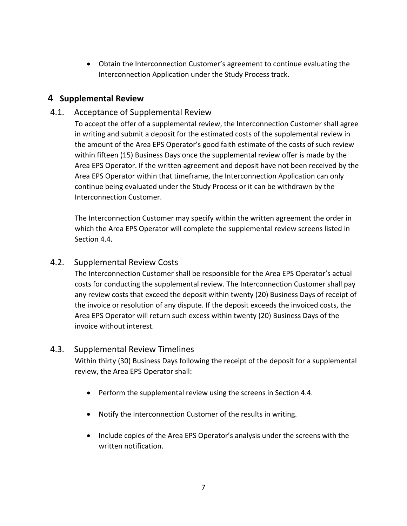Obtain the Interconnection Customer's agreement to continue evaluating the Interconnection Application under the Study Process track.

## **4 Supplemental Review**

#### 4.1. Acceptance of Supplemental Review

To accept the offer of a supplemental review, the Interconnection Customer shall agree in writing and submit a deposit for the estimated costs of the supplemental review in the amount of the Area EPS Operator's good faith estimate of the costs of such review within fifteen (15) Business Days once the supplemental review offer is made by the Area EPS Operator. If the written agreement and deposit have not been received by the Area EPS Operator within that timeframe, the Interconnection Application can only continue being evaluated under the Study Process or it can be withdrawn by the Interconnection Customer.

The Interconnection Customer may specify within the written agreement the order in which the Area EPS Operator will complete the supplemental review screens listed in Section 4.4.

#### 4.2. Supplemental Review Costs

The Interconnection Customer shall be responsible for the Area EPS Operator's actual costs for conducting the supplemental review. The Interconnection Customer shall pay any review costs that exceed the deposit within twenty (20) Business Days of receipt of the invoice or resolution of any dispute. If the deposit exceeds the invoiced costs, the Area EPS Operator will return such excess within twenty (20) Business Days of the invoice without interest.

#### 4.3. Supplemental Review Timelines

Within thirty (30) Business Days following the receipt of the deposit for a supplemental review, the Area EPS Operator shall:

- Perform the supplemental review using the screens in Section 4.4.
- Notify the Interconnection Customer of the results in writing.
- Include copies of the Area EPS Operator's analysis under the screens with the written notification.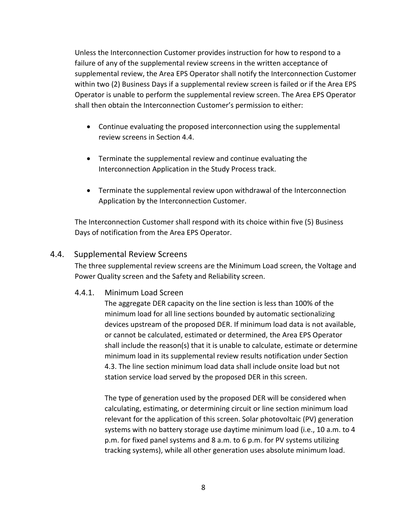Unless the Interconnection Customer provides instruction for how to respond to a failure of any of the supplemental review screens in the written acceptance of supplemental review, the Area EPS Operator shall notify the Interconnection Customer within two (2) Business Days if a supplemental review screen is failed or if the Area EPS Operator is unable to perform the supplemental review screen. The Area EPS Operator shall then obtain the Interconnection Customer's permission to either:

- Continue evaluating the proposed interconnection using the supplemental review screens in Section 4.4.
- Terminate the supplemental review and continue evaluating the Interconnection Application in the Study Process track.
- Terminate the supplemental review upon withdrawal of the Interconnection Application by the Interconnection Customer.

The Interconnection Customer shall respond with its choice within five (5) Business Days of notification from the Area EPS Operator.

#### 4.4. Supplemental Review Screens

The three supplemental review screens are the Minimum Load screen, the Voltage and Power Quality screen and the Safety and Reliability screen.

#### 4.4.1. Minimum Load Screen

The aggregate DER capacity on the line section is less than 100% of the minimum load for all line sections bounded by automatic sectionalizing devices upstream of the proposed DER. If minimum load data is not available, or cannot be calculated, estimated or determined, the Area EPS Operator shall include the reason(s) that it is unable to calculate, estimate or determine minimum load in its supplemental review results notification under Section 4.3. The line section minimum load data shall include onsite load but not station service load served by the proposed DER in this screen.

The type of generation used by the proposed DER will be considered when calculating, estimating, or determining circuit or line section minimum load relevant for the application of this screen. Solar photovoltaic (PV) generation systems with no battery storage use daytime minimum load (i.e., 10 a.m. to 4 p.m. for fixed panel systems and 8 a.m. to 6 p.m. for PV systems utilizing tracking systems), while all other generation uses absolute minimum load.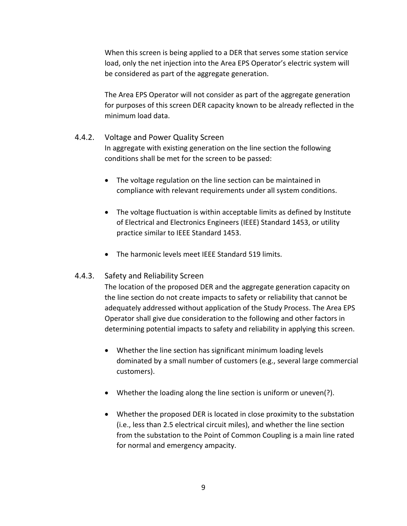When this screen is being applied to a DER that serves some station service load, only the net injection into the Area EPS Operator's electric system will be considered as part of the aggregate generation.

The Area EPS Operator will not consider as part of the aggregate generation for purposes of this screen DER capacity known to be already reflected in the minimum load data.

#### 4.4.2. Voltage and Power Quality Screen

In aggregate with existing generation on the line section the following conditions shall be met for the screen to be passed:

- The voltage regulation on the line section can be maintained in compliance with relevant requirements under all system conditions.
- The voltage fluctuation is within acceptable limits as defined by Institute of Electrical and Electronics Engineers (IEEE) Standard 1453, or utility practice similar to IEEE Standard 1453.
- The harmonic levels meet IEEE Standard 519 limits.

#### 4.4.3. Safety and Reliability Screen

The location of the proposed DER and the aggregate generation capacity on the line section do not create impacts to safety or reliability that cannot be adequately addressed without application of the Study Process. The Area EPS Operator shall give due consideration to the following and other factors in determining potential impacts to safety and reliability in applying this screen.

- Whether the line section has significant minimum loading levels dominated by a small number of customers (e.g., several large commercial customers).
- Whether the loading along the line section is uniform or uneven(?).
- Whether the proposed DER is located in close proximity to the substation (i.e., less than 2.5 electrical circuit miles), and whether the line section from the substation to the Point of Common Coupling is a main line rated for normal and emergency ampacity.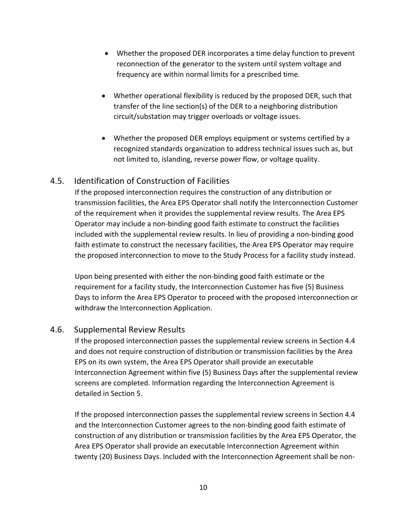- Whether the proposed DER incorporates a time delay function to prevent reconnection of the generator to the system until system voltage and frequency are within normal limits for a prescribed time.
- Whether operational flexibility is reduced by the proposed DER, such that transfer of the line section(s) of the DER to a neighboring distribution circuit/substation may trigger overloads or voltage issues.
- Whether the proposed DER employs equipment or systems certified by a recognized standards organization to address technical issues such as, but not limited to, islanding, reverse power flow, or voltage quality.

#### 4.5. Identification of Construction of Facilities

If the proposed interconnection requires the construction of any distribution or transmission facilities, the Area EPS Operator shall notify the Interconnection Customer of the requirement when it provides the supplemental review results. The Area EPS Operator may include a non‐binding good faith estimate to construct the facilities included with the supplemental review results. In lieu of providing a non‐binding good faith estimate to construct the necessary facilities, the Area EPS Operator may require the proposed interconnection to move to the Study Process for a facility study instead.

Upon being presented with either the non‐binding good faith estimate or the requirement for a facility study, the Interconnection Customer has five (5) Business Days to inform the Area EPS Operator to proceed with the proposed interconnection or withdraw the Interconnection Application.

#### 4.6. Supplemental Review Results

If the proposed interconnection passes the supplemental review screens in Section 4.4 and does not require construction of distribution or transmission facilities by the Area EPS on its own system, the Area EPS Operator shall provide an executable Interconnection Agreement within five (5) Business Days after the supplemental review screens are completed. Information regarding the Interconnection Agreement is detailed in Section 5.

If the proposed interconnection passes the supplemental review screens in Section 4.4 and the Interconnection Customer agrees to the non-binding good faith estimate of construction of any distribution or transmission facilities by the Area EPS Operator, the Area EPS Operator shall provide an executable Interconnection Agreement within twenty (20) Business Days. Included with the Interconnection Agreement shall be non‐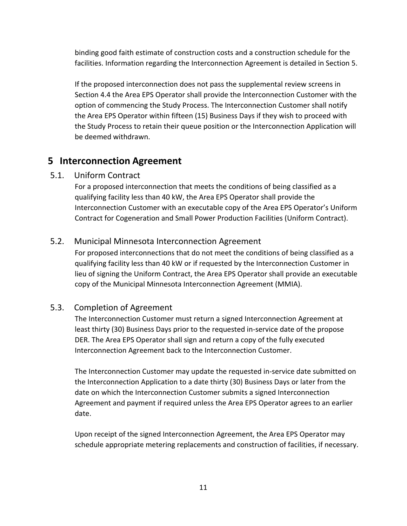binding good faith estimate of construction costs and a construction schedule for the facilities. Information regarding the Interconnection Agreement is detailed in Section 5.

If the proposed interconnection does not pass the supplemental review screens in Section 4.4 the Area EPS Operator shall provide the Interconnection Customer with the option of commencing the Study Process. The Interconnection Customer shall notify the Area EPS Operator within fifteen (15) Business Days if they wish to proceed with the Study Process to retain their queue position or the Interconnection Application will be deemed withdrawn.

## **5 Interconnection Agreement**

#### 5.1. Uniform Contract

For a proposed interconnection that meets the conditions of being classified as a qualifying facility less than 40 kW, the Area EPS Operator shall provide the Interconnection Customer with an executable copy of the Area EPS Operator's Uniform Contract for Cogeneration and Small Power Production Facilities (Uniform Contract).

#### 5.2. Municipal Minnesota Interconnection Agreement

For proposed interconnections that do not meet the conditions of being classified as a qualifying facility less than 40 kW or if requested by the Interconnection Customer in lieu of signing the Uniform Contract, the Area EPS Operator shall provide an executable copy of the Municipal Minnesota Interconnection Agreement (MMIA).

## 5.3. Completion of Agreement

The Interconnection Customer must return a signed Interconnection Agreement at least thirty (30) Business Days prior to the requested in‐service date of the propose DER. The Area EPS Operator shall sign and return a copy of the fully executed Interconnection Agreement back to the Interconnection Customer.

The Interconnection Customer may update the requested in‐service date submitted on the Interconnection Application to a date thirty (30) Business Days or later from the date on which the Interconnection Customer submits a signed Interconnection Agreement and payment if required unless the Area EPS Operator agrees to an earlier date.

Upon receipt of the signed Interconnection Agreement, the Area EPS Operator may schedule appropriate metering replacements and construction of facilities, if necessary.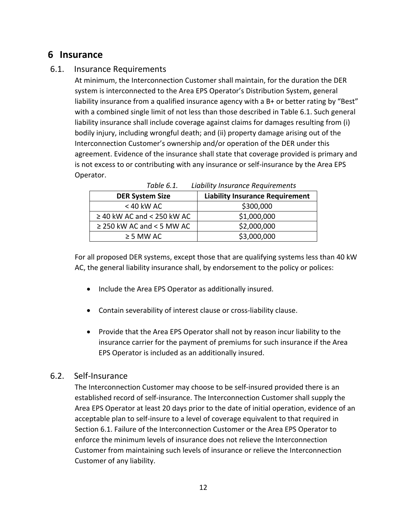# **6 Insurance**

#### 6.1. Insurance Requirements

At minimum, the Interconnection Customer shall maintain, for the duration the DER system is interconnected to the Area EPS Operator's Distribution System, general liability insurance from a qualified insurance agency with a B+ or better rating by "Best" with a combined single limit of not less than those described in Table 6.1. Such general liability insurance shall include coverage against claims for damages resulting from (i) bodily injury, including wrongful death; and (ii) property damage arising out of the Interconnection Customer's ownership and/or operation of the DER under this agreement. Evidence of the insurance shall state that coverage provided is primary and is not excess to or contributing with any insurance or self-insurance by the Area EPS Operator.

| <b>DER System Size</b>          | <b>Liability Insurance Requirement</b> |
|---------------------------------|----------------------------------------|
| $<$ 40 kW AC                    | \$300,000                              |
| $\geq$ 40 kW AC and < 250 kW AC | \$1,000,000                            |
| $\geq$ 250 kW AC and < 5 MW AC  | \$2,000,000                            |
| $\geq$ 5 MW AC                  | \$3,000,000                            |

*Table 6.1. Liability Insurance Requirements* 

For all proposed DER systems, except those that are qualifying systems less than 40 kW AC, the general liability insurance shall, by endorsement to the policy or polices:

- Include the Area EPS Operator as additionally insured.
- Contain severability of interest clause or cross-liability clause.
- Provide that the Area EPS Operator shall not by reason incur liability to the insurance carrier for the payment of premiums for such insurance if the Area EPS Operator is included as an additionally insured.

#### 6.2. Self‐Insurance

The Interconnection Customer may choose to be self-insured provided there is an established record of self‐insurance. The Interconnection Customer shall supply the Area EPS Operator at least 20 days prior to the date of initial operation, evidence of an acceptable plan to self‐insure to a level of coverage equivalent to that required in Section 6.1. Failure of the Interconnection Customer or the Area EPS Operator to enforce the minimum levels of insurance does not relieve the Interconnection Customer from maintaining such levels of insurance or relieve the Interconnection Customer of any liability.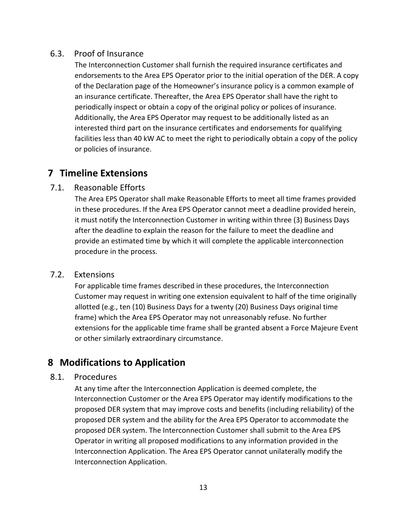#### 6.3. Proof of Insurance

The Interconnection Customer shall furnish the required insurance certificates and endorsements to the Area EPS Operator prior to the initial operation of the DER. A copy of the Declaration page of the Homeowner's insurance policy is a common example of an insurance certificate. Thereafter, the Area EPS Operator shall have the right to periodically inspect or obtain a copy of the original policy or polices of insurance. Additionally, the Area EPS Operator may request to be additionally listed as an interested third part on the insurance certificates and endorsements for qualifying facilities less than 40 kW AC to meet the right to periodically obtain a copy of the policy or policies of insurance.

# **7 Timeline Extensions**

#### 7.1. Reasonable Efforts

The Area EPS Operator shall make Reasonable Efforts to meet all time frames provided in these procedures. If the Area EPS Operator cannot meet a deadline provided herein, it must notify the Interconnection Customer in writing within three (3) Business Days after the deadline to explain the reason for the failure to meet the deadline and provide an estimated time by which it will complete the applicable interconnection procedure in the process.

#### 7.2. Extensions

For applicable time frames described in these procedures, the Interconnection Customer may request in writing one extension equivalent to half of the time originally allotted (e.g., ten (10) Business Days for a twenty (20) Business Days original time frame) which the Area EPS Operator may not unreasonably refuse. No further extensions for the applicable time frame shall be granted absent a Force Majeure Event or other similarly extraordinary circumstance.

# **8 Modifications to Application**

#### 8.1. Procedures

At any time after the Interconnection Application is deemed complete, the Interconnection Customer or the Area EPS Operator may identify modifications to the proposed DER system that may improve costs and benefits (including reliability) of the proposed DER system and the ability for the Area EPS Operator to accommodate the proposed DER system. The Interconnection Customer shall submit to the Area EPS Operator in writing all proposed modifications to any information provided in the Interconnection Application. The Area EPS Operator cannot unilaterally modify the Interconnection Application.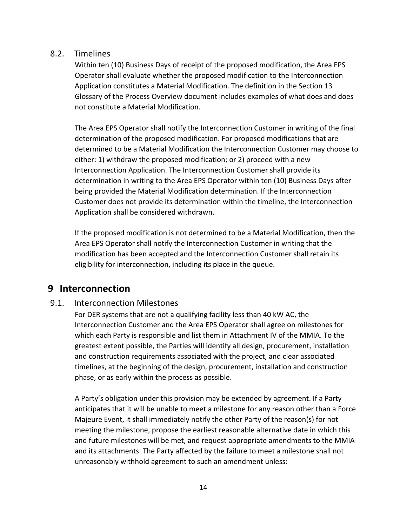#### 8.2. Timelines

Within ten (10) Business Days of receipt of the proposed modification, the Area EPS Operator shall evaluate whether the proposed modification to the Interconnection Application constitutes a Material Modification. The definition in the Section 13 Glossary of the Process Overview document includes examples of what does and does not constitute a Material Modification.

The Area EPS Operator shall notify the Interconnection Customer in writing of the final determination of the proposed modification. For proposed modifications that are determined to be a Material Modification the Interconnection Customer may choose to either: 1) withdraw the proposed modification; or 2) proceed with a new Interconnection Application. The Interconnection Customer shall provide its determination in writing to the Area EPS Operator within ten (10) Business Days after being provided the Material Modification determination. If the Interconnection Customer does not provide its determination within the timeline, the Interconnection Application shall be considered withdrawn.

If the proposed modification is not determined to be a Material Modification, then the Area EPS Operator shall notify the Interconnection Customer in writing that the modification has been accepted and the Interconnection Customer shall retain its eligibility for interconnection, including its place in the queue.

## **9 Interconnection**

#### 9.1. Interconnection Milestones

For DER systems that are not a qualifying facility less than 40 kW AC, the Interconnection Customer and the Area EPS Operator shall agree on milestones for which each Party is responsible and list them in Attachment IV of the MMIA. To the greatest extent possible, the Parties will identify all design, procurement, installation and construction requirements associated with the project, and clear associated timelines, at the beginning of the design, procurement, installation and construction phase, or as early within the process as possible.

A Party's obligation under this provision may be extended by agreement. If a Party anticipates that it will be unable to meet a milestone for any reason other than a Force Majeure Event, it shall immediately notify the other Party of the reason(s) for not meeting the milestone, propose the earliest reasonable alternative date in which this and future milestones will be met, and request appropriate amendments to the MMIA and its attachments. The Party affected by the failure to meet a milestone shall not unreasonably withhold agreement to such an amendment unless: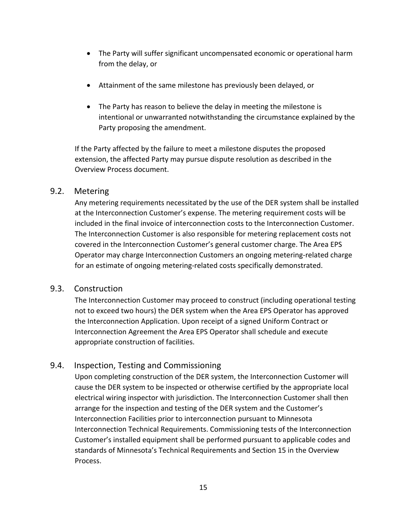- The Party will suffer significant uncompensated economic or operational harm from the delay, or
- Attainment of the same milestone has previously been delayed, or
- The Party has reason to believe the delay in meeting the milestone is intentional or unwarranted notwithstanding the circumstance explained by the Party proposing the amendment.

If the Party affected by the failure to meet a milestone disputes the proposed extension, the affected Party may pursue dispute resolution as described in the Overview Process document.

#### 9.2. Metering

Any metering requirements necessitated by the use of the DER system shall be installed at the Interconnection Customer's expense. The metering requirement costs will be included in the final invoice of interconnection costs to the Interconnection Customer. The Interconnection Customer is also responsible for metering replacement costs not covered in the Interconnection Customer's general customer charge. The Area EPS Operator may charge Interconnection Customers an ongoing metering‐related charge for an estimate of ongoing metering‐related costs specifically demonstrated.

#### 9.3. Construction

The Interconnection Customer may proceed to construct (including operational testing not to exceed two hours) the DER system when the Area EPS Operator has approved the Interconnection Application. Upon receipt of a signed Uniform Contract or Interconnection Agreement the Area EPS Operator shall schedule and execute appropriate construction of facilities.

#### 9.4. Inspection, Testing and Commissioning

Upon completing construction of the DER system, the Interconnection Customer will cause the DER system to be inspected or otherwise certified by the appropriate local electrical wiring inspector with jurisdiction. The Interconnection Customer shall then arrange for the inspection and testing of the DER system and the Customer's Interconnection Facilities prior to interconnection pursuant to Minnesota Interconnection Technical Requirements. Commissioning tests of the Interconnection Customer's installed equipment shall be performed pursuant to applicable codes and standards of Minnesota's Technical Requirements and Section 15 in the Overview Process.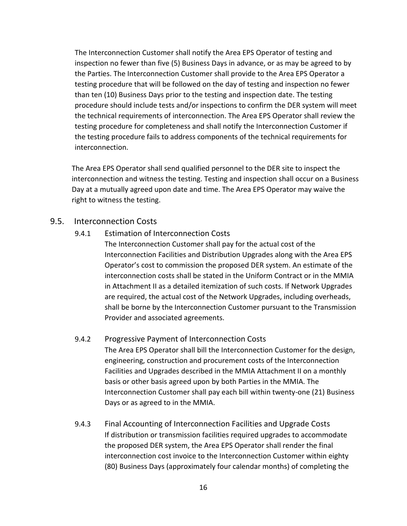The Interconnection Customer shall notify the Area EPS Operator of testing and inspection no fewer than five (5) Business Days in advance, or as may be agreed to by the Parties. The Interconnection Customer shall provide to the Area EPS Operator a testing procedure that will be followed on the day of testing and inspection no fewer than ten (10) Business Days prior to the testing and inspection date. The testing procedure should include tests and/or inspections to confirm the DER system will meet the technical requirements of interconnection. The Area EPS Operator shall review the testing procedure for completeness and shall notify the Interconnection Customer if the testing procedure fails to address components of the technical requirements for interconnection.

The Area EPS Operator shall send qualified personnel to the DER site to inspect the interconnection and witness the testing. Testing and inspection shall occur on a Business Day at a mutually agreed upon date and time. The Area EPS Operator may waive the right to witness the testing.

#### 9.5. Interconnection Costs

#### 9.4.1 Estimation of Interconnection Costs

The Interconnection Customer shall pay for the actual cost of the Interconnection Facilities and Distribution Upgrades along with the Area EPS Operator's cost to commission the proposed DER system. An estimate of the interconnection costs shall be stated in the Uniform Contract or in the MMIA in Attachment II as a detailed itemization of such costs. If Network Upgrades are required, the actual cost of the Network Upgrades, including overheads, shall be borne by the Interconnection Customer pursuant to the Transmission Provider and associated agreements.

#### 9.4.2 Progressive Payment of Interconnection Costs

The Area EPS Operator shall bill the Interconnection Customer for the design, engineering, construction and procurement costs of the Interconnection Facilities and Upgrades described in the MMIA Attachment II on a monthly basis or other basis agreed upon by both Parties in the MMIA. The Interconnection Customer shall pay each bill within twenty‐one (21) Business Days or as agreed to in the MMIA.

9.4.3 Final Accounting of Interconnection Facilities and Upgrade Costs If distribution or transmission facilities required upgrades to accommodate the proposed DER system, the Area EPS Operator shall render the final interconnection cost invoice to the Interconnection Customer within eighty (80) Business Days (approximately four calendar months) of completing the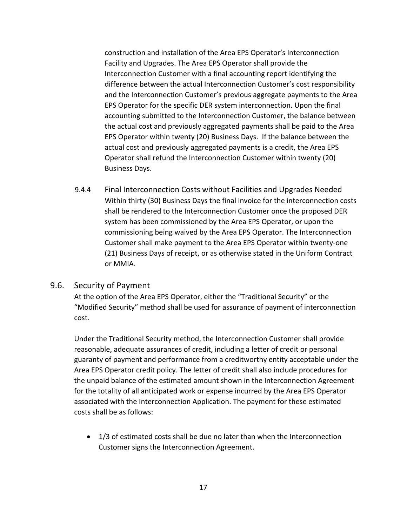construction and installation of the Area EPS Operator's Interconnection Facility and Upgrades. The Area EPS Operator shall provide the Interconnection Customer with a final accounting report identifying the difference between the actual Interconnection Customer's cost responsibility and the Interconnection Customer's previous aggregate payments to the Area EPS Operator for the specific DER system interconnection. Upon the final accounting submitted to the Interconnection Customer, the balance between the actual cost and previously aggregated payments shall be paid to the Area EPS Operator within twenty (20) Business Days. If the balance between the actual cost and previously aggregated payments is a credit, the Area EPS Operator shall refund the Interconnection Customer within twenty (20) Business Days.

9.4.4 Final Interconnection Costs without Facilities and Upgrades Needed Within thirty (30) Business Days the final invoice for the interconnection costs shall be rendered to the Interconnection Customer once the proposed DER system has been commissioned by the Area EPS Operator, or upon the commissioning being waived by the Area EPS Operator. The Interconnection Customer shall make payment to the Area EPS Operator within twenty‐one (21) Business Days of receipt, or as otherwise stated in the Uniform Contract or MMIA.

#### 9.6. Security of Payment

At the option of the Area EPS Operator, either the "Traditional Security" or the "Modified Security" method shall be used for assurance of payment of interconnection cost.

Under the Traditional Security method, the Interconnection Customer shall provide reasonable, adequate assurances of credit, including a letter of credit or personal guaranty of payment and performance from a creditworthy entity acceptable under the Area EPS Operator credit policy. The letter of credit shall also include procedures for the unpaid balance of the estimated amount shown in the Interconnection Agreement for the totality of all anticipated work or expense incurred by the Area EPS Operator associated with the Interconnection Application. The payment for these estimated costs shall be as follows:

 1/3 of estimated costs shall be due no later than when the Interconnection Customer signs the Interconnection Agreement.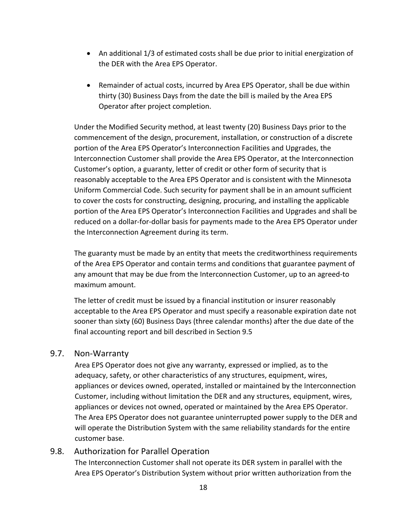- An additional 1/3 of estimated costs shall be due prior to initial energization of the DER with the Area EPS Operator.
- Remainder of actual costs, incurred by Area EPS Operator, shall be due within thirty (30) Business Days from the date the bill is mailed by the Area EPS Operator after project completion.

Under the Modified Security method, at least twenty (20) Business Days prior to the commencement of the design, procurement, installation, or construction of a discrete portion of the Area EPS Operator's Interconnection Facilities and Upgrades, the Interconnection Customer shall provide the Area EPS Operator, at the Interconnection Customer's option, a guaranty, letter of credit or other form of security that is reasonably acceptable to the Area EPS Operator and is consistent with the Minnesota Uniform Commercial Code. Such security for payment shall be in an amount sufficient to cover the costs for constructing, designing, procuring, and installing the applicable portion of the Area EPS Operator's Interconnection Facilities and Upgrades and shall be reduced on a dollar‐for‐dollar basis for payments made to the Area EPS Operator under the Interconnection Agreement during its term.

The guaranty must be made by an entity that meets the creditworthiness requirements of the Area EPS Operator and contain terms and conditions that guarantee payment of any amount that may be due from the Interconnection Customer, up to an agreed‐to maximum amount.

The letter of credit must be issued by a financial institution or insurer reasonably acceptable to the Area EPS Operator and must specify a reasonable expiration date not sooner than sixty (60) Business Days (three calendar months) after the due date of the final accounting report and bill described in Section 9.5

#### 9.7. Non‐Warranty

Area EPS Operator does not give any warranty, expressed or implied, as to the adequacy, safety, or other characteristics of any structures, equipment, wires, appliances or devices owned, operated, installed or maintained by the Interconnection Customer, including without limitation the DER and any structures, equipment, wires, appliances or devices not owned, operated or maintained by the Area EPS Operator. The Area EPS Operator does not guarantee uninterrupted power supply to the DER and will operate the Distribution System with the same reliability standards for the entire customer base.

#### 9.8. Authorization for Parallel Operation

The Interconnection Customer shall not operate its DER system in parallel with the Area EPS Operator's Distribution System without prior written authorization from the